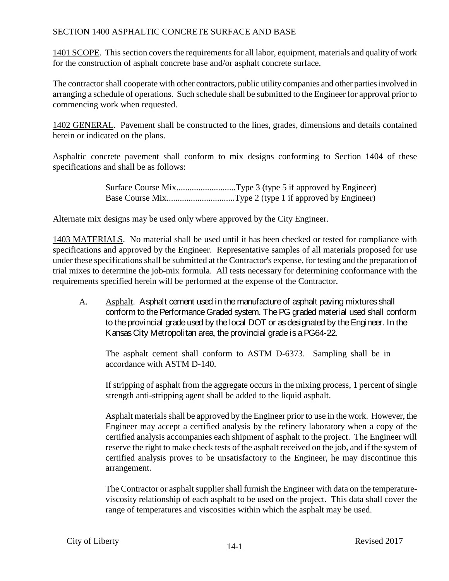### SECTION 1400 ASPHALTIC CONCRETE SURFACE AND BASE

1401 SCOPE. This section covers the requirements for all labor, equipment, materials and quality of work for the construction of asphalt concrete base and/or asphalt concrete surface.

The contractor shall cooperate with other contractors, public utility companies and other parties involved in arranging a schedule of operations. Such schedule shall be submitted to the Engineer for approval prior to commencing work when requested.

1402 GENERAL. Pavement shall be constructed to the lines, grades, dimensions and details contained herein or indicated on the plans.

Asphaltic concrete pavement shall conform to mix designs conforming to Section 1404 of these specifications and shall be as follows:

| Surface Course MixType 3 (type 5 if approved by Engineer) |
|-----------------------------------------------------------|
|                                                           |

Alternate mix designs may be used only where approved by the City Engineer.

1403 MATERIALS. No material shall be used until it has been checked or tested for compliance with specifications and approved by the Engineer. Representative samples of all materials proposed for use under these specifications shall be submitted at the Contractor's expense, for testing and the preparation of trial mixes to determine the job-mix formula. All tests necessary for determining conformance with the requirements specified herein will be performed at the expense of the Contractor.

A. Asphalt. Asphalt cement used in the manufacture of asphalt paving mixtures shall conform to the Performance Graded system. The PG graded material used shall conform to the provincial grade used by the local DOT or as designated by theEngineer. In the Kansas City Metropolitan area, the provincial grade is a PG64-22.

The asphalt cement shall conform to ASTM D-6373. Sampling shall be in accordance with ASTM D-140.

If stripping of asphalt from the aggregate occurs in the mixing process, 1 percent of single strength anti-stripping agent shall be added to the liquid asphalt.

Asphalt materials shall be approved by the Engineer prior to use in the work. However, the Engineer may accept a certified analysis by the refinery laboratory when a copy of the certified analysis accompanies each shipment of asphalt to the project. The Engineer will reserve the right to make check tests of the asphalt received on the job, and if the system of certified analysis proves to be unsatisfactory to the Engineer, he may discontinue this arrangement.

The Contractor or asphalt supplier shall furnish the Engineer with data on the temperatureviscosity relationship of each asphalt to be used on the project. This data shall cover the range of temperatures and viscosities within which the asphalt may be used.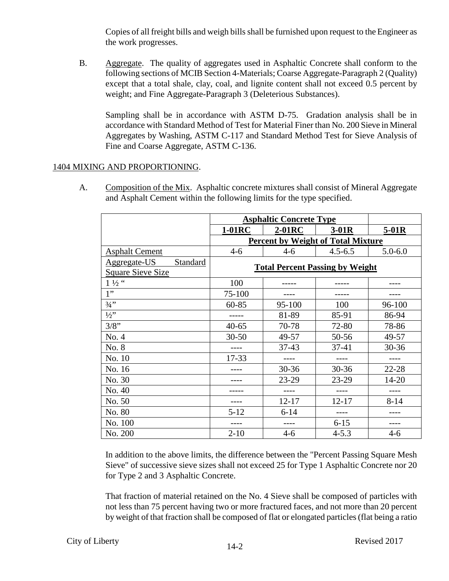Copies of all freight bills and weigh bills shall be furnished upon request to the Engineer as the work progresses.

B. Aggregate. The quality of aggregates used in Asphaltic Concrete shall conform to the following sections of MCIB Section 4-Materials; Coarse Aggregate-Paragraph 2 (Quality) except that a total shale, clay, coal, and lignite content shall not exceed 0.5 percent by weight; and Fine Aggregate-Paragraph 3 (Deleterious Substances).

Sampling shall be in accordance with ASTM D-75. Gradation analysis shall be in accordance with Standard Method of Test for Material Finer than No. 200 Sieve in Mineral Aggregates by Washing, ASTM C-117 and Standard Method Test for Sieve Analysis of Fine and Coarse Aggregate, ASTM C-136.

### 1404 MIXING AND PROPORTIONING.

A. Composition of the Mix. Asphaltic concrete mixtures shall consist of Mineral Aggregate and Asphalt Cement within the following limits for the type specified.

|                          | <b>Asphaltic Concrete Type</b>         |           |                                           |             |
|--------------------------|----------------------------------------|-----------|-------------------------------------------|-------------|
|                          | 1-01RC                                 | $2-01RC$  | $3-01R$                                   | $5-01R$     |
|                          |                                        |           | <b>Percent by Weight of Total Mixture</b> |             |
| <b>Asphalt Cement</b>    | $4 - 6$                                | $4 - 6$   | $4.5 - 6.5$                               | $5.0 - 6.0$ |
| Aggregate-US<br>Standard | <b>Total Percent Passing by Weight</b> |           |                                           |             |
| <b>Square Sieve Size</b> |                                        |           |                                           |             |
| $1\,\mathrm{\%}$ "       | 100                                    |           |                                           |             |
| 1"                       | 75-100                                 |           |                                           |             |
| $3/4$ "                  | $60 - 85$                              | 95-100    | 100                                       | 96-100      |
| $1/2$ "                  |                                        | 81-89     | 85-91                                     | 86-94       |
| 3/8"                     | $40 - 65$                              | 70-78     | 72-80                                     | 78-86       |
| No. 4                    | $30 - 50$                              | 49-57     | 50-56                                     | 49-57       |
| No. 8                    |                                        | $37 - 43$ | $37 - 41$                                 | $30 - 36$   |
| No. 10                   | $17 - 33$                              | ----      | ----                                      |             |
| No. 16                   |                                        | $30 - 36$ | 30-36                                     | $22 - 28$   |
| No. 30                   |                                        | 23-29     | 23-29                                     | 14-20       |
| No. 40                   |                                        |           |                                           |             |
| No. 50                   |                                        | $12 - 17$ | $12 - 17$                                 | $8 - 14$    |
| No. 80                   | $5 - 12$                               | $6 - 14$  |                                           |             |
| No. 100                  |                                        |           | $6 - 15$                                  |             |
| No. 200                  | $2 - 10$                               | $4-6$     | $4 - 5.3$                                 | 4-6         |

In addition to the above limits, the difference between the "Percent Passing Square Mesh Sieve" of successive sieve sizes shall not exceed 25 for Type 1 Asphaltic Concrete nor 20 for Type 2 and 3 Asphaltic Concrete.

That fraction of material retained on the No. 4 Sieve shall be composed of particles with not less than 75 percent having two or more fractured faces, and not more than 20 percent by weight of that fraction shall be composed of flat or elongated particles (flat being a ratio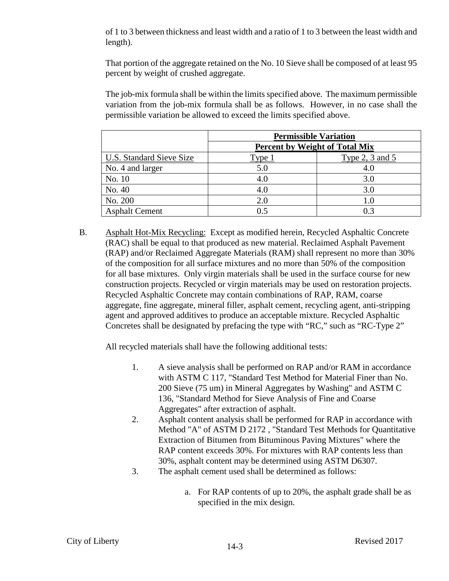of 1 to 3 between thickness and least width and a ratio of 1 to 3 between the least width and length).

That portion of the aggregate retained on the No. 10 Sieve shall be composed of at least 95 percent by weight of crushed aggregate.

The job-mix formula shall be within the limits specified above. The maximum permissible variation from the job-mix formula shall be as follows. However, in no case shall the permissible variation be allowed to exceed the limits specified above.

|                                 | <b>Permissible Variation</b>          |                   |  |
|---------------------------------|---------------------------------------|-------------------|--|
|                                 | <b>Percent by Weight of Total Mix</b> |                   |  |
| <b>U.S. Standard Sieve Size</b> | Type <sub>1</sub>                     | Type 2, 3 and $5$ |  |
| No. 4 and larger                | 5.0                                   | 4.0               |  |
| No. 10                          | 4.0                                   | 3.0               |  |
| No. 40                          | 4.0                                   | 3.0               |  |
| No. 200                         | 2.0                                   | 1.0               |  |
| <b>Asphalt Cement</b>           | ი 5                                   | 0.3               |  |

B. Asphalt Hot-Mix Recycling: Except as modified herein, Recycled Asphaltic Concrete (RAC) shall be equal to that produced as new material. Reclaimed Asphalt Pavement (RAP) and/or Reclaimed Aggregate Materials (RAM) shall represent no more than 30% of the composition for all surface mixtures and no more than 50% of the composition for all base mixtures. Only virgin materials shall be used in the surface course for new construction projects. Recycled or virgin materials may be used on restoration projects. Recycled Asphaltic Concrete may contain combinations of RAP, RAM, coarse aggregate, fine aggregate, mineral filler, asphalt cement, recycling agent, anti-stripping agent and approved additives to produce an acceptable mixture. Recycled Asphaltic Concretes shall be designated by prefacing the type with "RC," such as "RC-Type 2"

All recycled materials shall have the following additional tests:

- 1. A sieve analysis shall be performed on RAP and/or RAM in accordance with ASTM C 117, "Standard Test Method for Material Finer than No. 200 Sieve (75 um) in Mineral Aggregates by Washing" and ASTM C 136, "Standard Method for Sieve Analysis of Fine and Coarse Aggregates" after extraction of asphalt.
- 2. Asphalt content analysis shall be performed for RAP in accordance with Method "A" of ASTM D 2172 , "Standard Test Methods for Quantitative Extraction of Bitumen from Bituminous Paving Mixtures" where the RAP content exceeds 30%. For mixtures with RAP contents less than 30%, asphalt content may be determined using ASTM D6307.
- 3. The asphalt cement used shall be determined as follows:
	- a. For RAP contents of up to 20%, the asphalt grade shall be as specified in the mix design.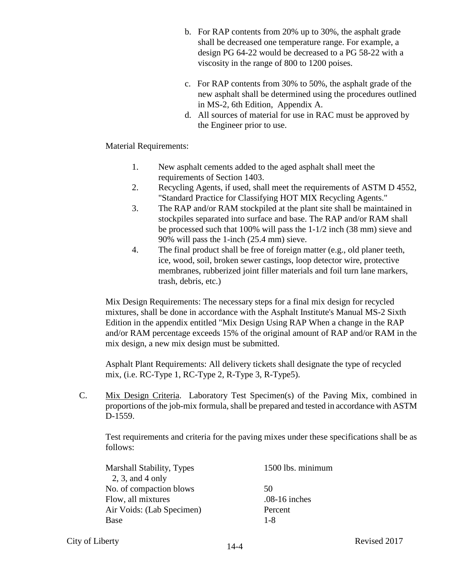- b. For RAP contents from 20% up to 30%, the asphalt grade shall be decreased one temperature range. For example, a design PG 64-22 would be decreased to a PG 58-22 with a viscosity in the range of 800 to 1200 poises.
- c. For RAP contents from 30% to 50%, the asphalt grade of the new asphalt shall be determined using the procedures outlined in MS-2, 6th Edition, Appendix A.
- d. All sources of material for use in RAC must be approved by the Engineer prior to use.

Material Requirements:

- 1. New asphalt cements added to the aged asphalt shall meet the requirements of Section 1403.
- 2. Recycling Agents, if used, shall meet the requirements of ASTM D 4552, "Standard Practice for Classifying HOT MIX Recycling Agents."
- 3. The RAP and/or RAM stockpiled at the plant site shall be maintained in stockpiles separated into surface and base. The RAP and/or RAM shall be processed such that 100% will pass the 1-1/2 inch (38 mm) sieve and 90% will pass the 1-inch (25.4 mm) sieve.
- 4. The final product shall be free of foreign matter (e.g., old planer teeth, ice, wood, soil, broken sewer castings, loop detector wire, protective membranes, rubberized joint filler materials and foil turn lane markers, trash, debris, etc.)

Mix Design Requirements: The necessary steps for a final mix design for recycled mixtures, shall be done in accordance with the Asphalt Institute's Manual MS-2 Sixth Edition in the appendix entitled "Mix Design Using RAP When a change in the RAP and/or RAM percentage exceeds 15% of the original amount of RAP and/or RAM in the mix design, a new mix design must be submitted.

Asphalt Plant Requirements: All delivery tickets shall designate the type of recycled mix, (i.e. RC-Type 1, RC-Type 2, R-Type 3, R-Type5).

C. Mix Design Criteria. Laboratory Test Specimen(s) of the Paving Mix, combined in proportions of the job-mix formula, shall be prepared and tested in accordance with ASTM D-1559.

Test requirements and criteria for the paving mixes under these specifications shall be as follows:

| <b>Marshall Stability, Types</b> | 1500 lbs. minimum |
|----------------------------------|-------------------|
| $2, 3,$ and 4 only               |                   |
| No. of compaction blows          | 50                |
| Flow, all mixtures               | $.08-16$ inches   |
| Air Voids: (Lab Specimen)        | Percent           |
| Base                             | 1-8               |
|                                  |                   |

City of Liberty **Revised 2017** 14-4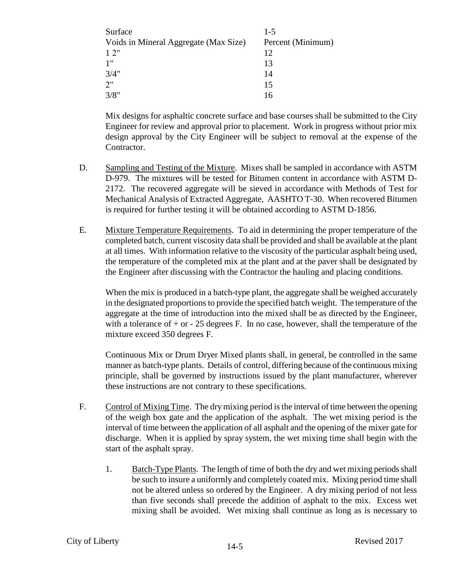| Surface                               | $1 - 5$           |
|---------------------------------------|-------------------|
| Voids in Mineral Aggregate (Max Size) | Percent (Minimum) |
| 12"                                   | 12                |
| 1"                                    | 13                |
| 3/4"                                  | 14                |
| 2"                                    | 15                |
| 3/8"                                  | 16                |

Mix designs for asphaltic concrete surface and base courses shall be submitted to the City Engineer for review and approval prior to placement. Work in progress without prior mix design approval by the City Engineer will be subject to removal at the expense of the Contractor.

- D. Sampling and Testing of the Mixture. Mixes shall be sampled in accordance with ASTM D-979. The mixtures will be tested for Bitumen content in accordance with ASTM D-2172. The recovered aggregate will be sieved in accordance with Methods of Test for Mechanical Analysis of Extracted Aggregate, AASHTO T-30. When recovered Bitumen is required for further testing it will be obtained according to ASTM D-1856.
- E. Mixture Temperature Requirements. To aid in determining the proper temperature of the completed batch, current viscosity data shall be provided and shall be available at the plant at all times. With information relative to the viscosity of the particular asphalt being used, the temperature of the completed mix at the plant and at the paver shall be designated by the Engineer after discussing with the Contractor the hauling and placing conditions.

When the mix is produced in a batch-type plant, the aggregate shall be weighed accurately in the designated proportions to provide the specified batch weight. The temperature of the aggregate at the time of introduction into the mixed shall be as directed by the Engineer, with a tolerance of  $+$  or  $-$  25 degrees F. In no case, however, shall the temperature of the mixture exceed 350 degrees F.

Continuous Mix or Drum Dryer Mixed plants shall, in general, be controlled in the same manner as batch-type plants. Details of control, differing because of the continuous mixing principle, shall be governed by instructions issued by the plant manufacturer, wherever these instructions are not contrary to these specifications.

- F. Control of Mixing Time. The dry mixing period is the interval of time between the opening of the weigh box gate and the application of the asphalt. The wet mixing period is the interval of time between the application of all asphalt and the opening of the mixer gate for discharge. When it is applied by spray system, the wet mixing time shall begin with the start of the asphalt spray.
	- 1. Batch-Type Plants. The length of time of both the dry and wet mixing periods shall be such to insure a uniformly and completely coated mix. Mixing period time shall not be altered unless so ordered by the Engineer. A dry mixing period of not less than five seconds shall precede the addition of asphalt to the mix. Excess wet mixing shall be avoided. Wet mixing shall continue as long as is necessary to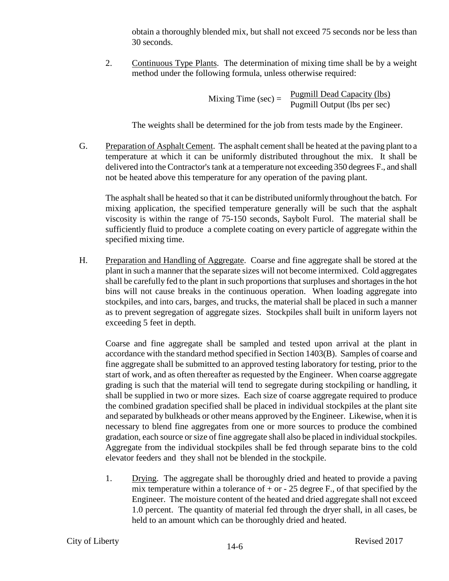obtain a thoroughly blended mix, but shall not exceed 75 seconds nor be less than 30 seconds.

2. Continuous Type Plants. The determination of mixing time shall be by a weight method under the following formula, unless otherwise required:

> Mixing Time (sec) =  $\frac{\text{Pugmill Dead Capacity (lbs)}}{\text{Dermill Optant (lbs person scs)}}$ Pugmill Output (lbs per sec)

The weights shall be determined for the job from tests made by the Engineer.

G. Preparation of Asphalt Cement. The asphalt cement shall be heated at the paving plant to a temperature at which it can be uniformly distributed throughout the mix. It shall be delivered into the Contractor's tank at a temperature not exceeding 350 degrees F., and shall not be heated above this temperature for any operation of the paving plant.

The asphalt shall be heated so that it can be distributed uniformly throughout the batch. For mixing application, the specified temperature generally will be such that the asphalt viscosity is within the range of 75-150 seconds, Saybolt Furol. The material shall be sufficiently fluid to produce a complete coating on every particle of aggregate within the specified mixing time.

H. Preparation and Handling of Aggregate. Coarse and fine aggregate shall be stored at the plant in such a manner that the separate sizes will not become intermixed. Cold aggregates shall be carefully fed to the plant in such proportions that surpluses and shortages in the hot bins will not cause breaks in the continuous operation. When loading aggregate into stockpiles, and into cars, barges, and trucks, the material shall be placed in such a manner as to prevent segregation of aggregate sizes. Stockpiles shall built in uniform layers not exceeding 5 feet in depth.

Coarse and fine aggregate shall be sampled and tested upon arrival at the plant in accordance with the standard method specified in Section 1403(B). Samples of coarse and fine aggregate shall be submitted to an approved testing laboratory for testing, prior to the start of work, and as often thereafter as requested by the Engineer. When coarse aggregate grading is such that the material will tend to segregate during stockpiling or handling, it shall be supplied in two or more sizes. Each size of coarse aggregate required to produce the combined gradation specified shall be placed in individual stockpiles at the plant site and separated by bulkheads or other means approved by the Engineer. Likewise, when it is necessary to blend fine aggregates from one or more sources to produce the combined gradation, each source or size of fine aggregate shall also be placed in individual stockpiles. Aggregate from the individual stockpiles shall be fed through separate bins to the cold elevator feeders and they shall not be blended in the stockpile.

1. Drying. The aggregate shall be thoroughly dried and heated to provide a paving mix temperature within a tolerance of  $+$  or  $-$  25 degree F., of that specified by the Engineer. The moisture content of the heated and dried aggregate shall not exceed 1.0 percent. The quantity of material fed through the dryer shall, in all cases, be held to an amount which can be thoroughly dried and heated.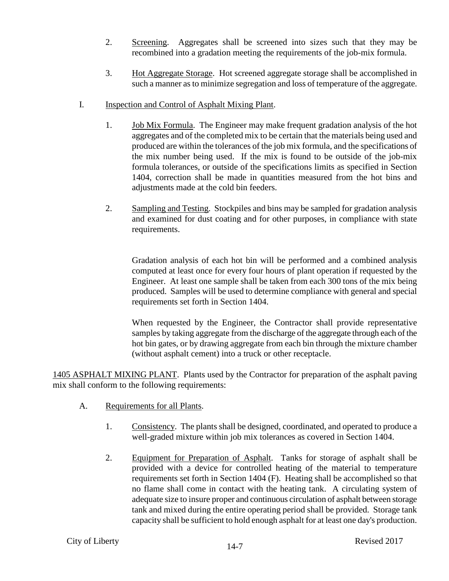- 2. Screening. Aggregates shall be screened into sizes such that they may be recombined into a gradation meeting the requirements of the job-mix formula.
- 3. Hot Aggregate Storage. Hot screened aggregate storage shall be accomplished in such a manner as to minimize segregation and loss of temperature of the aggregate.
- I. Inspection and Control of Asphalt Mixing Plant.
	- 1. Job Mix Formula. The Engineer may make frequent gradation analysis of the hot aggregates and of the completed mix to be certain that the materials being used and produced are within the tolerances of the job mix formula, and the specifications of the mix number being used. If the mix is found to be outside of the job-mix formula tolerances, or outside of the specifications limits as specified in Section 1404, correction shall be made in quantities measured from the hot bins and adjustments made at the cold bin feeders.
	- 2. Sampling and Testing. Stockpiles and bins may be sampled for gradation analysis and examined for dust coating and for other purposes, in compliance with state requirements.

Gradation analysis of each hot bin will be performed and a combined analysis computed at least once for every four hours of plant operation if requested by the Engineer. At least one sample shall be taken from each 300 tons of the mix being produced. Samples will be used to determine compliance with general and special requirements set forth in Section 1404.

When requested by the Engineer, the Contractor shall provide representative samples by taking aggregate from the discharge of the aggregate through each of the hot bin gates, or by drawing aggregate from each bin through the mixture chamber (without asphalt cement) into a truck or other receptacle.

1405 ASPHALT MIXING PLANT. Plants used by the Contractor for preparation of the asphalt paving mix shall conform to the following requirements:

- A. Requirements for all Plants.
	- 1. Consistency. The plants shall be designed, coordinated, and operated to produce a well-graded mixture within job mix tolerances as covered in Section 1404.
	- 2. Equipment for Preparation of Asphalt. Tanks for storage of asphalt shall be provided with a device for controlled heating of the material to temperature requirements set forth in Section 1404 (F). Heating shall be accomplished so that no flame shall come in contact with the heating tank. A circulating system of adequate size to insure proper and continuous circulation of asphalt between storage tank and mixed during the entire operating period shall be provided. Storage tank capacity shall be sufficient to hold enough asphalt for at least one day's production.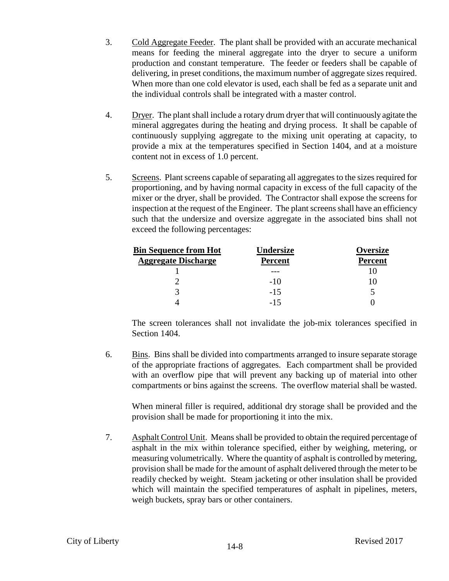- 3. Cold Aggregate Feeder. The plant shall be provided with an accurate mechanical means for feeding the mineral aggregate into the dryer to secure a uniform production and constant temperature. The feeder or feeders shall be capable of delivering, in preset conditions, the maximum number of aggregate sizes required. When more than one cold elevator is used, each shall be fed as a separate unit and the individual controls shall be integrated with a master control.
- 4. Dryer. The plant shall include a rotary drum dryer that will continuously agitate the mineral aggregates during the heating and drying process. It shall be capable of continuously supplying aggregate to the mixing unit operating at capacity, to provide a mix at the temperatures specified in Section 1404, and at a moisture content not in excess of 1.0 percent.
- 5. Screens. Plant screens capable of separating all aggregates to the sizes required for proportioning, and by having normal capacity in excess of the full capacity of the mixer or the dryer, shall be provided. The Contractor shall expose the screens for inspection at the request of the Engineer. The plant screens shall have an efficiency such that the undersize and oversize aggregate in the associated bins shall not exceed the following percentages:

| <u>Bin Sequence from Hot</u> | <b>Undersize</b> | <b>Oversize</b> |
|------------------------------|------------------|-----------------|
| <b>Aggregate Discharge</b>   | <b>Percent</b>   | <b>Percent</b>  |
|                              |                  |                 |
|                              | $-1()$           |                 |
|                              | $-1.5$           |                 |
|                              | -15              |                 |

The screen tolerances shall not invalidate the job-mix tolerances specified in Section 1404.

6. Bins. Bins shall be divided into compartments arranged to insure separate storage of the appropriate fractions of aggregates. Each compartment shall be provided with an overflow pipe that will prevent any backing up of material into other compartments or bins against the screens. The overflow material shall be wasted.

When mineral filler is required, additional dry storage shall be provided and the provision shall be made for proportioning it into the mix.

7. Asphalt Control Unit. Means shall be provided to obtain the required percentage of asphalt in the mix within tolerance specified, either by weighing, metering, or measuring volumetrically. Where the quantity of asphalt is controlled by metering, provision shall be made for the amount of asphalt delivered through the meter to be readily checked by weight. Steam jacketing or other insulation shall be provided which will maintain the specified temperatures of asphalt in pipelines, meters, weigh buckets, spray bars or other containers.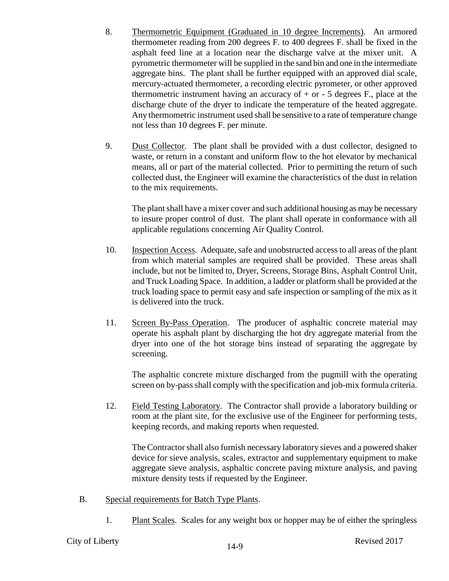- 8. Thermometric Equipment (Graduated in 10 degree Increments). An armored thermometer reading from 200 degrees F. to 400 degrees F. shall be fixed in the asphalt feed line at a location near the discharge valve at the mixer unit. A pyrometric thermometer will be supplied in the sand bin and one in the intermediate aggregate bins. The plant shall be further equipped with an approved dial scale, mercury-actuated thermometer, a recording electric pyrometer, or other approved thermometric instrument having an accuracy of + or - 5 degrees F., place at the discharge chute of the dryer to indicate the temperature of the heated aggregate. Any thermometric instrument used shall be sensitive to a rate of temperature change not less than 10 degrees F. per minute.
- 9. Dust Collector. The plant shall be provided with a dust collector, designed to waste, or return in a constant and uniform flow to the hot elevator by mechanical means, all or part of the material collected. Prior to permitting the return of such collected dust, the Engineer will examine the characteristics of the dust in relation to the mix requirements.

The plant shall have a mixer cover and such additional housing as may be necessary to insure proper control of dust. The plant shall operate in conformance with all applicable regulations concerning Air Quality Control.

- 10. Inspection Access. Adequate, safe and unobstructed access to all areas of the plant from which material samples are required shall be provided. These areas shall include, but not be limited to, Dryer, Screens, Storage Bins, Asphalt Control Unit, and Truck Loading Space. In addition, a ladder or platform shall be provided at the truck loading space to permit easy and safe inspection or sampling of the mix as it is delivered into the truck.
- 11. Screen By-Pass Operation. The producer of asphaltic concrete material may operate his asphalt plant by discharging the hot dry aggregate material from the dryer into one of the hot storage bins instead of separating the aggregate by screening.

The asphaltic concrete mixture discharged from the pugmill with the operating screen on by-pass shall comply with the specification and job-mix formula criteria.

12. Field Testing Laboratory. The Contractor shall provide a laboratory building or room at the plant site, for the exclusive use of the Engineer for performing tests, keeping records, and making reports when requested.

The Contractor shall also furnish necessary laboratory sieves and a powered shaker device for sieve analysis, scales, extractor and supplementary equipment to make aggregate sieve analysis, asphaltic concrete paving mixture analysis, and paving mixture density tests if requested by the Engineer.

- B. Special requirements for Batch Type Plants.
	- 1. Plant Scales. Scales for any weight box or hopper may be of either the springless

# City of Liberty **Revised 2017** 14-9 **Revised 2017**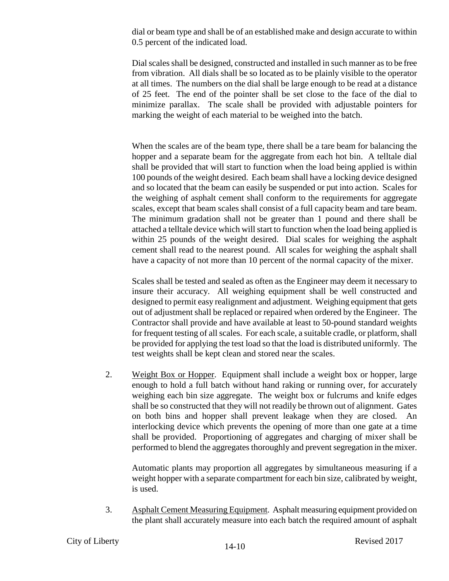dial or beam type and shall be of an established make and design accurate to within 0.5 percent of the indicated load.

Dial scales shall be designed, constructed and installed in such manner as to be free from vibration. All dials shall be so located as to be plainly visible to the operator at all times. The numbers on the dial shall be large enough to be read at a distance of 25 feet. The end of the pointer shall be set close to the face of the dial to minimize parallax. The scale shall be provided with adjustable pointers for marking the weight of each material to be weighed into the batch.

When the scales are of the beam type, there shall be a tare beam for balancing the hopper and a separate beam for the aggregate from each hot bin. A telltale dial shall be provided that will start to function when the load being applied is within 100 pounds of the weight desired. Each beam shall have a locking device designed and so located that the beam can easily be suspended or put into action. Scales for the weighing of asphalt cement shall conform to the requirements for aggregate scales, except that beam scales shall consist of a full capacity beam and tare beam. The minimum gradation shall not be greater than 1 pound and there shall be attached a telltale device which will start to function when the load being applied is within 25 pounds of the weight desired. Dial scales for weighing the asphalt cement shall read to the nearest pound. All scales for weighing the asphalt shall have a capacity of not more than 10 percent of the normal capacity of the mixer.

Scales shall be tested and sealed as often as the Engineer may deem it necessary to insure their accuracy. All weighing equipment shall be well constructed and designed to permit easy realignment and adjustment. Weighing equipment that gets out of adjustment shall be replaced or repaired when ordered by the Engineer. The Contractor shall provide and have available at least to 50-pound standard weights for frequent testing of all scales. For each scale, a suitable cradle, or platform, shall be provided for applying the test load so that the load is distributed uniformly. The test weights shall be kept clean and stored near the scales.

2. Weight Box or Hopper. Equipment shall include a weight box or hopper, large enough to hold a full batch without hand raking or running over, for accurately weighing each bin size aggregate. The weight box or fulcrums and knife edges shall be so constructed that they will not readily be thrown out of alignment. Gates on both bins and hopper shall prevent leakage when they are closed. An interlocking device which prevents the opening of more than one gate at a time shall be provided. Proportioning of aggregates and charging of mixer shall be performed to blend the aggregates thoroughly and prevent segregation in the mixer.

Automatic plants may proportion all aggregates by simultaneous measuring if a weight hopper with a separate compartment for each bin size, calibrated by weight, is used.

3. Asphalt Cement Measuring Equipment. Asphalt measuring equipment provided on the plant shall accurately measure into each batch the required amount of asphalt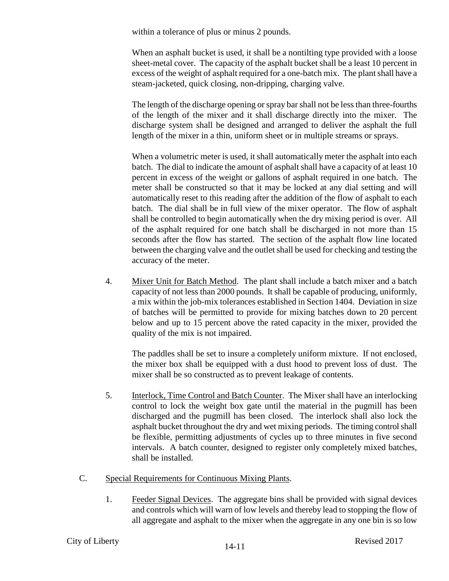within a tolerance of plus or minus 2 pounds.

When an asphalt bucket is used, it shall be a nontilting type provided with a loose sheet-metal cover. The capacity of the asphalt bucket shall be a least 10 percent in excess of the weight of asphalt required for a one-batch mix. The plant shall have a steam-jacketed, quick closing, non-dripping, charging valve.

The length of the discharge opening or spray bar shall not be less than three-fourths of the length of the mixer and it shall discharge directly into the mixer. The discharge system shall be designed and arranged to deliver the asphalt the full length of the mixer in a thin, uniform sheet or in multiple streams or sprays.

When a volumetric meter is used, it shall automatically meter the asphalt into each batch. The dial to indicate the amount of asphalt shall have a capacity of at least 10 percent in excess of the weight or gallons of asphalt required in one batch. The meter shall be constructed so that it may be locked at any dial setting and will automatically reset to this reading after the addition of the flow of asphalt to each batch. The dial shall be in full view of the mixer operator. The flow of asphalt shall be controlled to begin automatically when the dry mixing period is over. All of the asphalt required for one batch shall be discharged in not more than 15 seconds after the flow has started. The section of the asphalt flow line located between the charging valve and the outlet shall be used for checking and testing the accuracy of the meter.

4. Mixer Unit for Batch Method. The plant shall include a batch mixer and a batch capacity of not less than 2000 pounds. It shall be capable of producing, uniformly, a mix within the job-mix tolerances established in Section 1404. Deviation in size of batches will be permitted to provide for mixing batches down to 20 percent below and up to 15 percent above the rated capacity in the mixer, provided the quality of the mix is not impaired.

The paddles shall be set to insure a completely uniform mixture. If not enclosed, the mixer box shall be equipped with a dust hood to prevent loss of dust. The mixer shall be so constructed as to prevent leakage of contents.

- 5. Interlock, Time Control and Batch Counter. The Mixer shall have an interlocking control to lock the weight box gate until the material in the pugmill has been discharged and the pugmill has been closed. The interlock shall also lock the asphalt bucket throughout the dry and wet mixing periods. The timing control shall be flexible, permitting adjustments of cycles up to three minutes in five second intervals. A batch counter, designed to register only completely mixed batches, shall be installed.
- C. Special Requirements for Continuous Mixing Plants.
	- 1. Feeder Signal Devices. The aggregate bins shall be provided with signal devices and controls which will warn of low levels and thereby lead to stopping the flow of all aggregate and asphalt to the mixer when the aggregate in any one bin is so low

## City of Liberty **Revised 2017** 14-11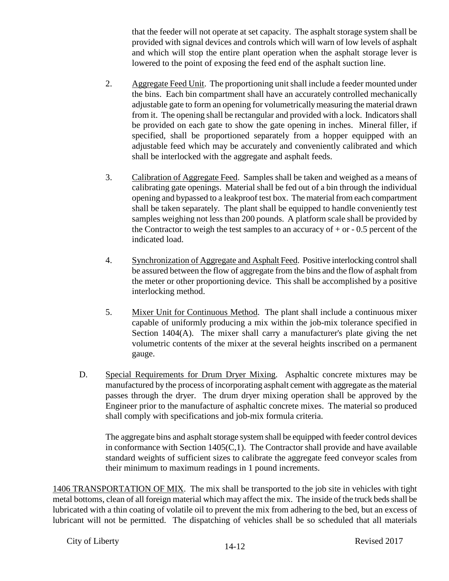that the feeder will not operate at set capacity. The asphalt storage system shall be provided with signal devices and controls which will warn of low levels of asphalt and which will stop the entire plant operation when the asphalt storage lever is lowered to the point of exposing the feed end of the asphalt suction line.

- 2. Aggregate Feed Unit. The proportioning unit shall include a feeder mounted under the bins. Each bin compartment shall have an accurately controlled mechanically adjustable gate to form an opening for volumetrically measuring the material drawn from it. The opening shall be rectangular and provided with a lock. Indicators shall be provided on each gate to show the gate opening in inches. Mineral filler, if specified, shall be proportioned separately from a hopper equipped with an adjustable feed which may be accurately and conveniently calibrated and which shall be interlocked with the aggregate and asphalt feeds.
- 3. Calibration of Aggregate Feed. Samples shall be taken and weighed as a means of calibrating gate openings. Material shall be fed out of a bin through the individual opening and bypassed to a leakproof test box. The material from each compartment shall be taken separately. The plant shall be equipped to handle conveniently test samples weighing not less than 200 pounds. A platform scale shall be provided by the Contractor to weigh the test samples to an accuracy of  $+$  or  $-$  0.5 percent of the indicated load.
- 4. Synchronization of Aggregate and Asphalt Feed. Positive interlocking control shall be assured between the flow of aggregate from the bins and the flow of asphalt from the meter or other proportioning device. This shall be accomplished by a positive interlocking method.
- 5. Mixer Unit for Continuous Method. The plant shall include a continuous mixer capable of uniformly producing a mix within the job-mix tolerance specified in Section 1404(A). The mixer shall carry a manufacturer's plate giving the net volumetric contents of the mixer at the several heights inscribed on a permanent gauge.
- D. Special Requirements for Drum Dryer Mixing. Asphaltic concrete mixtures may be manufactured by the process of incorporating asphalt cement with aggregate as the material passes through the dryer. The drum dryer mixing operation shall be approved by the Engineer prior to the manufacture of asphaltic concrete mixes. The material so produced shall comply with specifications and job-mix formula criteria.

The aggregate bins and asphalt storage system shall be equipped with feeder control devices in conformance with Section  $1405(C,1)$ . The Contractor shall provide and have available standard weights of sufficient sizes to calibrate the aggregate feed conveyor scales from their minimum to maximum readings in 1 pound increments.

1406 TRANSPORTATION OF MIX. The mix shall be transported to the job site in vehicles with tight metal bottoms, clean of all foreign material which may affect the mix. The inside of the truck beds shall be lubricated with a thin coating of volatile oil to prevent the mix from adhering to the bed, but an excess of lubricant will not be permitted. The dispatching of vehicles shall be so scheduled that all materials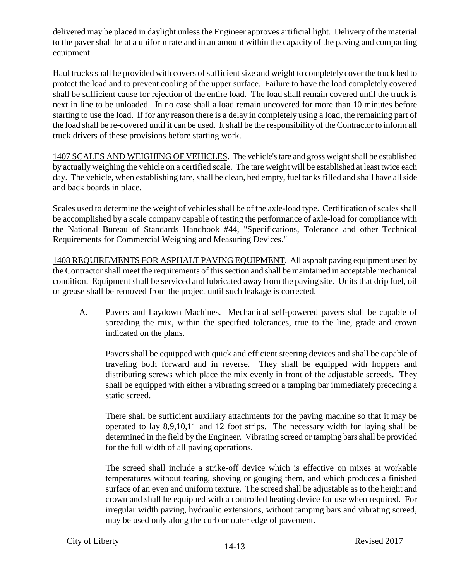delivered may be placed in daylight unless the Engineer approves artificial light. Delivery of the material to the paver shall be at a uniform rate and in an amount within the capacity of the paving and compacting equipment.

Haul trucks shall be provided with covers of sufficient size and weight to completely cover the truck bed to protect the load and to prevent cooling of the upper surface. Failure to have the load completely covered shall be sufficient cause for rejection of the entire load. The load shall remain covered until the truck is next in line to be unloaded. In no case shall a load remain uncovered for more than 10 minutes before starting to use the load. If for any reason there is a delay in completely using a load, the remaining part of the load shall be re-covered until it can be used. It shall be the responsibility of the Contractor to inform all truck drivers of these provisions before starting work.

1407 SCALES AND WEIGHING OF VEHICLES. The vehicle's tare and gross weight shall be established by actually weighing the vehicle on a certified scale. The tare weight will be established at least twice each day. The vehicle, when establishing tare, shall be clean, bed empty, fuel tanks filled and shall have all side and back boards in place.

Scales used to determine the weight of vehicles shall be of the axle-load type. Certification of scales shall be accomplished by a scale company capable of testing the performance of axle-load for compliance with the National Bureau of Standards Handbook #44, "Specifications, Tolerance and other Technical Requirements for Commercial Weighing and Measuring Devices."

1408 REQUIREMENTS FOR ASPHALT PAVING EQUIPMENT. All asphalt paving equipment used by the Contractor shall meet the requirements of this section and shall be maintained in acceptable mechanical condition. Equipment shall be serviced and lubricated away from the paving site. Units that drip fuel, oil or grease shall be removed from the project until such leakage is corrected.

A. Pavers and Laydown Machines. Mechanical self-powered pavers shall be capable of spreading the mix, within the specified tolerances, true to the line, grade and crown indicated on the plans.

Pavers shall be equipped with quick and efficient steering devices and shall be capable of traveling both forward and in reverse. They shall be equipped with hoppers and distributing screws which place the mix evenly in front of the adjustable screeds. They shall be equipped with either a vibrating screed or a tamping bar immediately preceding a static screed.

There shall be sufficient auxiliary attachments for the paving machine so that it may be operated to lay 8,9,10,11 and 12 foot strips. The necessary width for laying shall be determined in the field by the Engineer. Vibrating screed or tamping bars shall be provided for the full width of all paving operations.

The screed shall include a strike-off device which is effective on mixes at workable temperatures without tearing, shoving or gouging them, and which produces a finished surface of an even and uniform texture. The screed shall be adjustable as to the height and crown and shall be equipped with a controlled heating device for use when required. For irregular width paving, hydraulic extensions, without tamping bars and vibrating screed, may be used only along the curb or outer edge of pavement.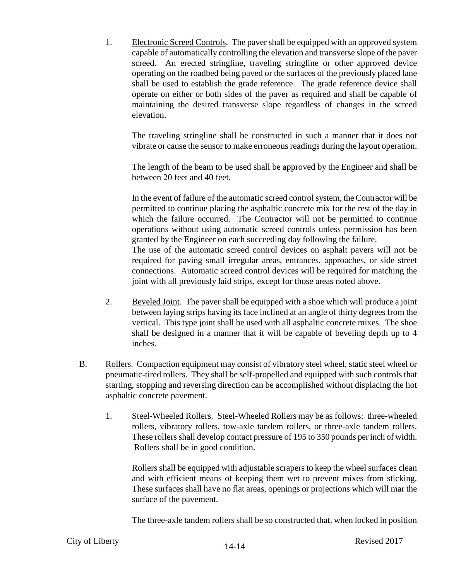1. Electronic Screed Controls. The paver shall be equipped with an approved system capable of automatically controlling the elevation and transverse slope of the paver screed. An erected stringline, traveling stringline or other approved device operating on the roadbed being paved or the surfaces of the previously placed lane shall be used to establish the grade reference. The grade reference device shall operate on either or both sides of the paver as required and shall be capable of maintaining the desired transverse slope regardless of changes in the screed elevation.

The traveling stringline shall be constructed in such a manner that it does not vibrate or cause the sensor to make erroneous readings during the layout operation.

The length of the beam to be used shall be approved by the Engineer and shall be between 20 feet and 40 feet.

In the event of failure of the automatic screed control system, the Contractor will be permitted to continue placing the asphaltic concrete mix for the rest of the day in which the failure occurred. The Contractor will not be permitted to continue operations without using automatic screed controls unless permission has been granted by the Engineer on each succeeding day following the failure. The use of the automatic screed control devices on asphalt pavers will not be required for paving small irregular areas, entrances, approaches, or side street connections. Automatic screed control devices will be required for matching the joint with all previously laid strips, except for those areas noted above.

- 2. Beveled Joint. The paver shall be equipped with a shoe which will produce a joint between laying strips having its face inclined at an angle of thirty degrees from the vertical. This type joint shall be used with all asphaltic concrete mixes. The shoe shall be designed in a manner that it will be capable of beveling depth up to 4 inches.
- B. Rollers. Compaction equipment may consist of vibratory steel wheel, static steel wheel or pneumatic-tired rollers. They shall be self-propelled and equipped with such controls that starting, stopping and reversing direction can be accomplished without displacing the hot asphaltic concrete pavement.
	- 1. Steel-Wheeled Rollers. Steel-Wheeled Rollers may be as follows: three-wheeled rollers, vibratory rollers, tow-axle tandem rollers, or three-axle tandem rollers. These rollers shall develop contact pressure of 195 to 350 pounds per inch of width. Rollers shall be in good condition.

Rollers shall be equipped with adjustable scrapers to keep the wheel surfaces clean and with efficient means of keeping them wet to prevent mixes from sticking. These surfaces shall have no flat areas, openings or projections which will mar the surface of the pavement.

The three-axle tandem rollers shall be so constructed that, when locked in position

## City of Liberty **Revised 2017** 14-14 Revised 2017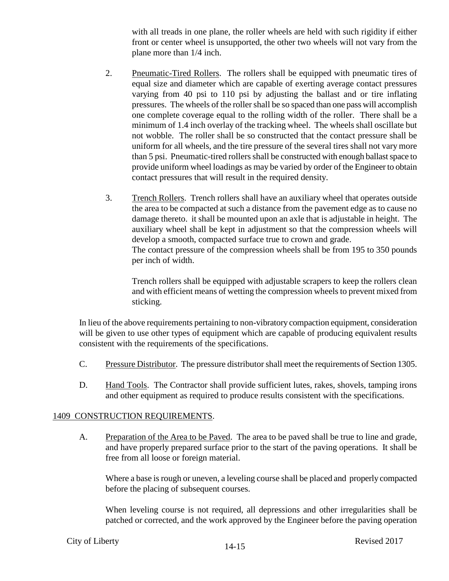with all treads in one plane, the roller wheels are held with such rigidity if either front or center wheel is unsupported, the other two wheels will not vary from the plane more than 1/4 inch.

- 2. Pneumatic-Tired Rollers. The rollers shall be equipped with pneumatic tires of equal size and diameter which are capable of exerting average contact pressures varying from 40 psi to 110 psi by adjusting the ballast and or tire inflating pressures. The wheels of the roller shall be so spaced than one pass will accomplish one complete coverage equal to the rolling width of the roller. There shall be a minimum of 1.4 inch overlay of the tracking wheel. The wheels shall oscillate but not wobble. The roller shall be so constructed that the contact pressure shall be uniform for all wheels, and the tire pressure of the several tires shall not vary more than 5 psi. Pneumatic-tired rollers shall be constructed with enough ballast space to provide uniform wheel loadings as may be varied by order of the Engineer to obtain contact pressures that will result in the required density.
- 3. Trench Rollers. Trench rollers shall have an auxiliary wheel that operates outside the area to be compacted at such a distance from the pavement edge as to cause no damage thereto. it shall be mounted upon an axle that is adjustable in height. The auxiliary wheel shall be kept in adjustment so that the compression wheels will develop a smooth, compacted surface true to crown and grade. The contact pressure of the compression wheels shall be from 195 to 350 pounds per inch of width.

Trench rollers shall be equipped with adjustable scrapers to keep the rollers clean and with efficient means of wetting the compression wheels to prevent mixed from sticking.

In lieu of the above requirements pertaining to non-vibratory compaction equipment, consideration will be given to use other types of equipment which are capable of producing equivalent results consistent with the requirements of the specifications.

- C. Pressure Distributor. The pressure distributor shall meet the requirements of Section 1305.
- D. Hand Tools. The Contractor shall provide sufficient lutes, rakes, shovels, tamping irons and other equipment as required to produce results consistent with the specifications.

### 1409 CONSTRUCTION REQUIREMENTS.

A. Preparation of the Area to be Paved. The area to be paved shall be true to line and grade, and have properly prepared surface prior to the start of the paving operations. It shall be free from all loose or foreign material.

Where a base is rough or uneven, a leveling course shall be placed and properly compacted before the placing of subsequent courses.

When leveling course is not required, all depressions and other irregularities shall be patched or corrected, and the work approved by the Engineer before the paving operation

## City of Liberty **Revised 2017** 14-15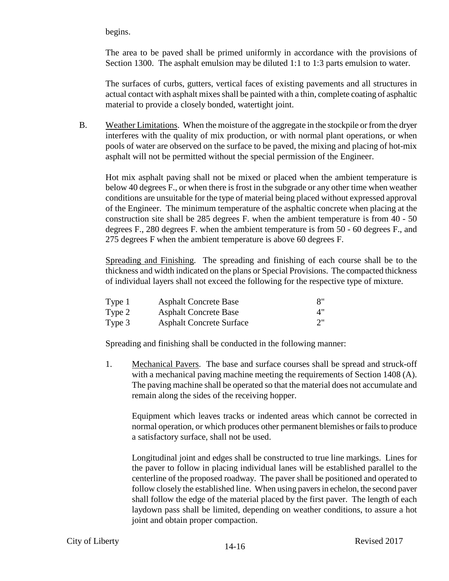begins.

The area to be paved shall be primed uniformly in accordance with the provisions of Section 1300. The asphalt emulsion may be diluted 1:1 to 1:3 parts emulsion to water.

The surfaces of curbs, gutters, vertical faces of existing pavements and all structures in actual contact with asphalt mixes shall be painted with a thin, complete coating of asphaltic material to provide a closely bonded, watertight joint.

B. Weather Limitations. When the moisture of the aggregate in the stockpile or from the dryer interferes with the quality of mix production, or with normal plant operations, or when pools of water are observed on the surface to be paved, the mixing and placing of hot-mix asphalt will not be permitted without the special permission of the Engineer.

Hot mix asphalt paving shall not be mixed or placed when the ambient temperature is below 40 degrees F., or when there is frost in the subgrade or any other time when weather conditions are unsuitable for the type of material being placed without expressed approval of the Engineer. The minimum temperature of the asphaltic concrete when placing at the construction site shall be 285 degrees F. when the ambient temperature is from 40 - 50 degrees F., 280 degrees F. when the ambient temperature is from 50 - 60 degrees F., and 275 degrees F when the ambient temperature is above 60 degrees F.

Spreading and Finishing. The spreading and finishing of each course shall be to the thickness and width indicated on the plans or Special Provisions. The compacted thickness of individual layers shall not exceed the following for the respective type of mixture.

| Type 1 | <b>Asphalt Concrete Base</b>    | 8" |
|--------|---------------------------------|----|
| Type 2 | <b>Asphalt Concrete Base</b>    | 4" |
| Type 3 | <b>Asphalt Concrete Surface</b> | 2" |

Spreading and finishing shall be conducted in the following manner:

1. Mechanical Pavers. The base and surface courses shall be spread and struck-off with a mechanical paving machine meeting the requirements of Section 1408 (A). The paving machine shall be operated so that the material does not accumulate and remain along the sides of the receiving hopper.

Equipment which leaves tracks or indented areas which cannot be corrected in normal operation, or which produces other permanent blemishes or fails to produce a satisfactory surface, shall not be used.

Longitudinal joint and edges shall be constructed to true line markings. Lines for the paver to follow in placing individual lanes will be established parallel to the centerline of the proposed roadway. The paver shall be positioned and operated to follow closely the established line. When using pavers in echelon, the second paver shall follow the edge of the material placed by the first paver. The length of each laydown pass shall be limited, depending on weather conditions, to assure a hot joint and obtain proper compaction.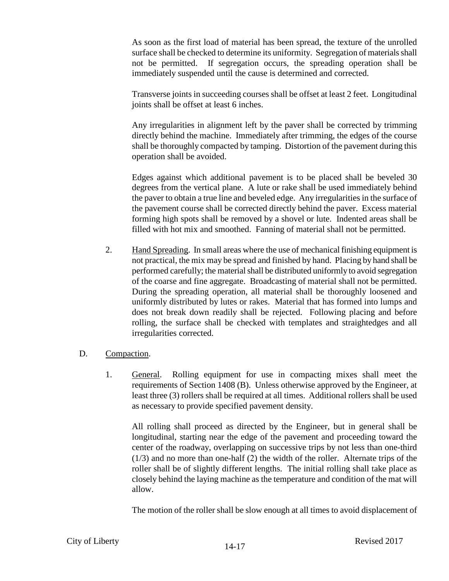As soon as the first load of material has been spread, the texture of the unrolled surface shall be checked to determine its uniformity. Segregation of materials shall not be permitted. If segregation occurs, the spreading operation shall be immediately suspended until the cause is determined and corrected.

Transverse joints in succeeding courses shall be offset at least 2 feet. Longitudinal joints shall be offset at least 6 inches.

Any irregularities in alignment left by the paver shall be corrected by trimming directly behind the machine. Immediately after trimming, the edges of the course shall be thoroughly compacted by tamping. Distortion of the pavement during this operation shall be avoided.

Edges against which additional pavement is to be placed shall be beveled 30 degrees from the vertical plane. A lute or rake shall be used immediately behind the paver to obtain a true line and beveled edge. Any irregularities in the surface of the pavement course shall be corrected directly behind the paver. Excess material forming high spots shall be removed by a shovel or lute. Indented areas shall be filled with hot mix and smoothed. Fanning of material shall not be permitted.

- 2. Hand Spreading. In small areas where the use of mechanical finishing equipment is not practical, the mix may be spread and finished by hand. Placing by hand shall be performed carefully; the material shall be distributed uniformly to avoid segregation of the coarse and fine aggregate. Broadcasting of material shall not be permitted. During the spreading operation, all material shall be thoroughly loosened and uniformly distributed by lutes or rakes. Material that has formed into lumps and does not break down readily shall be rejected. Following placing and before rolling, the surface shall be checked with templates and straightedges and all irregularities corrected.
- D. Compaction.
	- 1. General. Rolling equipment for use in compacting mixes shall meet the requirements of Section 1408 (B). Unless otherwise approved by the Engineer, at least three (3) rollers shall be required at all times. Additional rollers shall be used as necessary to provide specified pavement density.

All rolling shall proceed as directed by the Engineer, but in general shall be longitudinal, starting near the edge of the pavement and proceeding toward the center of the roadway, overlapping on successive trips by not less than one-third (1/3) and no more than one-half (2) the width of the roller. Alternate trips of the roller shall be of slightly different lengths. The initial rolling shall take place as closely behind the laying machine as the temperature and condition of the mat will allow.

The motion of the roller shall be slow enough at all times to avoid displacement of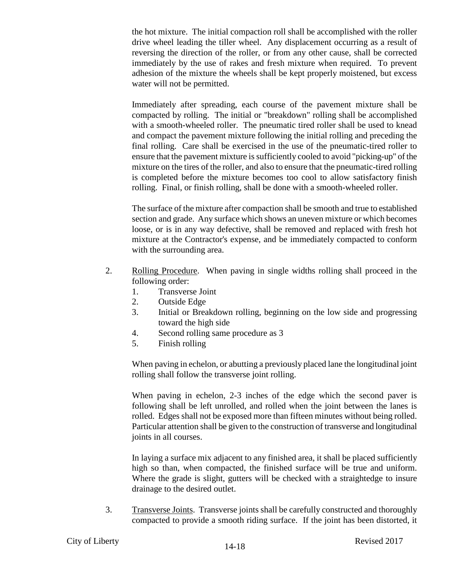the hot mixture. The initial compaction roll shall be accomplished with the roller drive wheel leading the tiller wheel. Any displacement occurring as a result of reversing the direction of the roller, or from any other cause, shall be corrected immediately by the use of rakes and fresh mixture when required. To prevent adhesion of the mixture the wheels shall be kept properly moistened, but excess water will not be permitted.

Immediately after spreading, each course of the pavement mixture shall be compacted by rolling. The initial or "breakdown" rolling shall be accomplished with a smooth-wheeled roller. The pneumatic tired roller shall be used to knead and compact the pavement mixture following the initial rolling and preceding the final rolling. Care shall be exercised in the use of the pneumatic-tired roller to ensure that the pavement mixture is sufficiently cooled to avoid "picking-up" of the mixture on the tires of the roller, and also to ensure that the pneumatic-tired rolling is completed before the mixture becomes too cool to allow satisfactory finish rolling. Final, or finish rolling, shall be done with a smooth-wheeled roller.

The surface of the mixture after compaction shall be smooth and true to established section and grade. Any surface which shows an uneven mixture or which becomes loose, or is in any way defective, shall be removed and replaced with fresh hot mixture at the Contractor's expense, and be immediately compacted to conform with the surrounding area.

- 2. Rolling Procedure. When paving in single widths rolling shall proceed in the following order:
	- 1. Transverse Joint
	- 2. Outside Edge
	- 3. Initial or Breakdown rolling, beginning on the low side and progressing toward the high side
	- 4. Second rolling same procedure as 3
	- 5. Finish rolling

When paving in echelon, or abutting a previously placed lane the longitudinal joint rolling shall follow the transverse joint rolling.

When paving in echelon, 2-3 inches of the edge which the second paver is following shall be left unrolled, and rolled when the joint between the lanes is rolled. Edges shall not be exposed more than fifteen minutes without being rolled. Particular attention shall be given to the construction of transverse and longitudinal joints in all courses.

In laying a surface mix adjacent to any finished area, it shall be placed sufficiently high so than, when compacted, the finished surface will be true and uniform. Where the grade is slight, gutters will be checked with a straightedge to insure drainage to the desired outlet.

3. Transverse Joints. Transverse joints shall be carefully constructed and thoroughly compacted to provide a smooth riding surface. If the joint has been distorted, it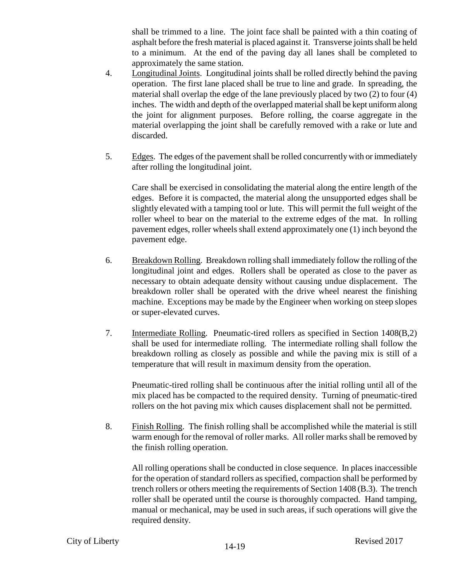shall be trimmed to a line. The joint face shall be painted with a thin coating of asphalt before the fresh material is placed against it. Transverse joints shall be held to a minimum. At the end of the paving day all lanes shall be completed to approximately the same station.

- 4. Longitudinal Joints. Longitudinal joints shall be rolled directly behind the paving operation. The first lane placed shall be true to line and grade. In spreading, the material shall overlap the edge of the lane previously placed by two (2) to four (4) inches. The width and depth of the overlapped material shall be kept uniform along the joint for alignment purposes. Before rolling, the coarse aggregate in the material overlapping the joint shall be carefully removed with a rake or lute and discarded.
- 5. Edges. The edges of the pavement shall be rolled concurrently with or immediately after rolling the longitudinal joint.

Care shall be exercised in consolidating the material along the entire length of the edges. Before it is compacted, the material along the unsupported edges shall be slightly elevated with a tamping tool or lute. This will permit the full weight of the roller wheel to bear on the material to the extreme edges of the mat. In rolling pavement edges, roller wheels shall extend approximately one (1) inch beyond the pavement edge.

- 6. Breakdown Rolling. Breakdown rolling shall immediately follow the rolling of the longitudinal joint and edges. Rollers shall be operated as close to the paver as necessary to obtain adequate density without causing undue displacement. The breakdown roller shall be operated with the drive wheel nearest the finishing machine. Exceptions may be made by the Engineer when working on steep slopes or super-elevated curves.
- 7. Intermediate Rolling. Pneumatic-tired rollers as specified in Section 1408(B,2) shall be used for intermediate rolling. The intermediate rolling shall follow the breakdown rolling as closely as possible and while the paving mix is still of a temperature that will result in maximum density from the operation.

Pneumatic-tired rolling shall be continuous after the initial rolling until all of the mix placed has be compacted to the required density. Turning of pneumatic-tired rollers on the hot paving mix which causes displacement shall not be permitted.

8. Finish Rolling. The finish rolling shall be accomplished while the material is still warm enough for the removal of roller marks. All roller marks shall be removed by the finish rolling operation.

All rolling operations shall be conducted in close sequence. In places inaccessible for the operation of standard rollers as specified, compaction shall be performed by trench rollers or others meeting the requirements of Section 1408 (B.3). The trench roller shall be operated until the course is thoroughly compacted. Hand tamping, manual or mechanical, may be used in such areas, if such operations will give the required density.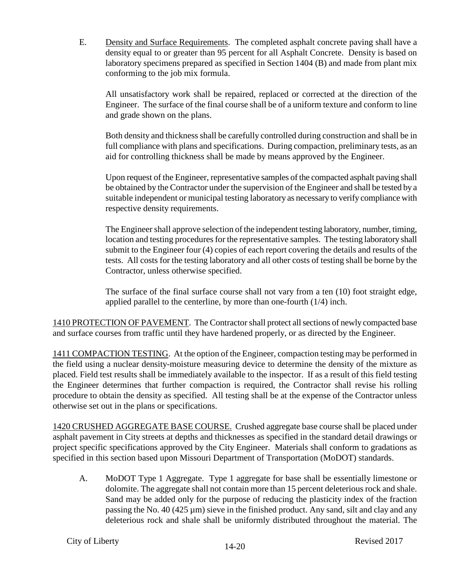E. Density and Surface Requirements. The completed asphalt concrete paving shall have a density equal to or greater than 95 percent for all Asphalt Concrete. Density is based on laboratory specimens prepared as specified in Section 1404 (B) and made from plant mix conforming to the job mix formula.

All unsatisfactory work shall be repaired, replaced or corrected at the direction of the Engineer. The surface of the final course shall be of a uniform texture and conform to line and grade shown on the plans.

Both density and thickness shall be carefully controlled during construction and shall be in full compliance with plans and specifications. During compaction, preliminary tests, as an aid for controlling thickness shall be made by means approved by the Engineer.

Upon request of the Engineer, representative samples of the compacted asphalt paving shall be obtained by the Contractor under the supervision of the Engineer and shall be tested by a suitable independent or municipal testing laboratory as necessary to verify compliance with respective density requirements.

The Engineer shall approve selection of the independent testing laboratory, number, timing, location and testing procedures for the representative samples. The testing laboratory shall submit to the Engineer four (4) copies of each report covering the details and results of the tests. All costs for the testing laboratory and all other costs of testing shall be borne by the Contractor, unless otherwise specified.

The surface of the final surface course shall not vary from a ten (10) foot straight edge, applied parallel to the centerline, by more than one-fourth (1/4) inch.

1410 PROTECTION OF PAVEMENT. The Contractor shall protect all sections of newly compacted base and surface courses from traffic until they have hardened properly, or as directed by the Engineer.

1411 COMPACTION TESTING. At the option of the Engineer, compaction testing may be performed in the field using a nuclear density-moisture measuring device to determine the density of the mixture as placed. Field test results shall be immediately available to the inspector. If as a result of this field testing the Engineer determines that further compaction is required, the Contractor shall revise his rolling procedure to obtain the density as specified. All testing shall be at the expense of the Contractor unless otherwise set out in the plans or specifications.

1420 CRUSHED AGGREGATE BASE COURSE. Crushed aggregate base course shall be placed under asphalt pavement in City streets at depths and thicknesses as specified in the standard detail drawings or project specific specifications approved by the City Engineer. Materials shall conform to gradations as specified in this section based upon Missouri Department of Transportation (MoDOT) standards.

A. MoDOT Type 1 Aggregate. Type 1 aggregate for base shall be essentially limestone or dolomite. The aggregate shall not contain more than 15 percent deleterious rock and shale. Sand may be added only for the purpose of reducing the plasticity index of the fraction passing the No. 40 (425  $\mu$ m) sieve in the finished product. Any sand, silt and clay and any deleterious rock and shale shall be uniformly distributed throughout the material. The